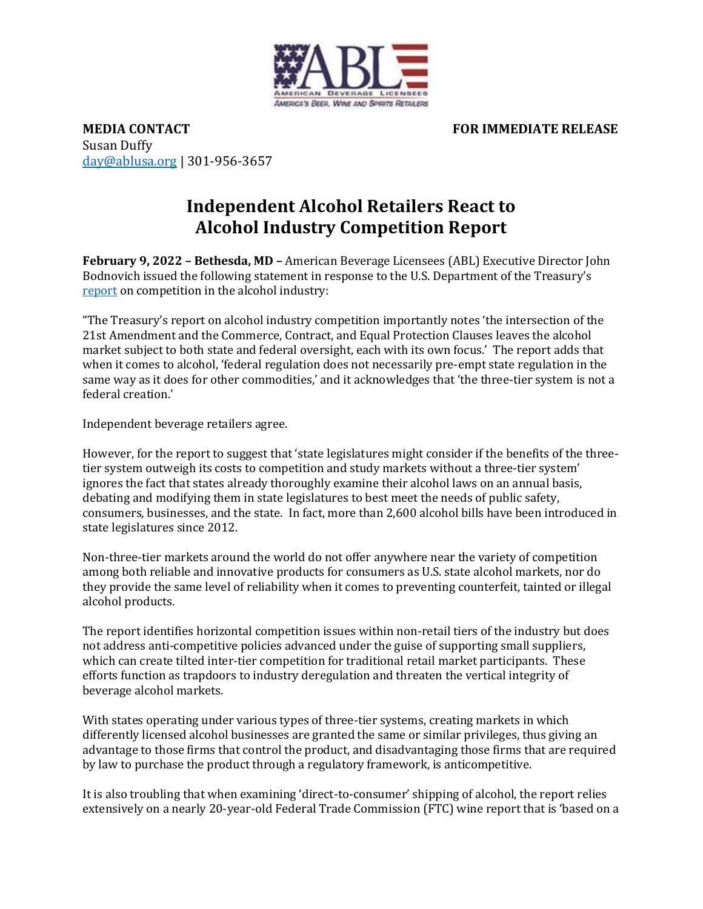

**MEDIA CONTACT SECOND FOR IMMEDIATE RELEASE** Susan Duffy [day@ablusa.org](mailto:day@ablusa.org) | 301-956-3657

## **Independent Alcohol Retailers React to Alcohol Industry Competition Report**

**February 9, 2022 – Bethesda, MD –** American Beverage Licensees (ABL) Executive Director John Bodnovich issued the following statement in response to the U.S. Department of the Treasury's [report](https://home.treasury.gov/news/press-releases/jy0591) on competition in the alcohol industry:

"The Treasury's report on alcohol industry competition importantly notes 'the intersection of the 21st Amendment and the Commerce, Contract, and Equal Protection Clauses leaves the alcohol market subject to both state and federal oversight, each with its own focus.' The report adds that when it comes to alcohol, 'federal regulation does not necessarily pre-empt state regulation in the same way as it does for other commodities,' and it acknowledges that 'the three-tier system is not a federal creation.'

Independent beverage retailers agree.

However, for the report to suggest that 'state legislatures might consider if the benefits of the threetier system outweigh its costs to competition and study markets without a three-tier system' ignores the fact that states already thoroughly examine their alcohol laws on an annual basis, debating and modifying them in state legislatures to best meet the needs of public safety, consumers, businesses, and the state. In fact, more than 2,600 alcohol bills have been introduced in state legislatures since 2012.

Non-three-tier markets around the world do not offer anywhere near the variety of competition among both reliable and innovative products for consumers as U.S. state alcohol markets, nor do they provide the same level of reliability when it comes to preventing counterfeit, tainted or illegal alcohol products.

The report identifies horizontal competition issues within non-retail tiers of the industry but does not address anti-competitive policies advanced under the guise of supporting small suppliers, which can create tilted inter-tier competition for traditional retail market participants. These efforts function as trapdoors to industry deregulation and threaten the vertical integrity of beverage alcohol markets.

With states operating under various types of three-tier systems, creating markets in which differently licensed alcohol businesses are granted the same or similar privileges, thus giving an advantage to those firms that control the product, and disadvantaging those firms that are required by law to purchase the product through a regulatory framework, is anticompetitive.

It is also troubling that when examining 'direct-to-consumer' shipping of alcohol, the report relies extensively on a nearly 20-year-old Federal Trade Commission (FTC) wine report that is 'based on a